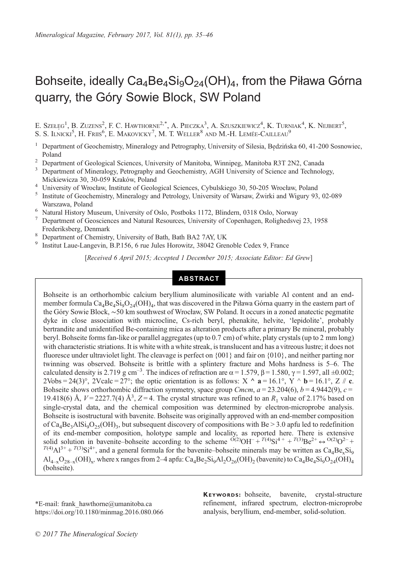# Bohseite, ideally  $Ca_4Be_4Si_9O_{24}(OH)_4$ , from the Piława Górna quarry, the Góry Sowie Block, SW Poland

E. Szełęg<sup>1</sup>, B. Zuzens<sup>2</sup>, F. C. Hawthorne<sup>2,\*</sup>, A. Pieczka<sup>3</sup>, A. Szuszkiewicz<sup>4</sup>, K. Turniak<sup>4</sup>, K. Nejbert<sup>5</sup>, S. S. Ilnicki<sup>5</sup>, H. Friis<sup>6</sup>, E. Makovicky<sup>7</sup>, M. T. Weller<sup>8</sup> and M.-H. Lemée-Cailleau<sup>9</sup>

- <sup>1</sup> Department of Geochemistry, Mineralogy and Petrography, University of Silesia, Będzińska 60, 41-200 Sosnowiec, Poland <sup>2</sup> Department of Geological Sciences, University of Manitoba, Winnipeg, Manitoba R3T 2N2, Canada <sup>3</sup> Department of Mineralogy, Petrography and Geochemistry, AGH University of Science and Technology,
- 
- 
- 
- Mickiewicza 30, 30-059 Kraków, Poland<br>
<sup>4</sup> University of Wrocław, Institute of Geological Sciences, Cybulskiego 30, 50-205 Wrocław, Poland<br>
<sup>5</sup> Institute of Geochemistry, Mineralogy and Petrology, University of Warsaw, Żwi Warszawa, Poland <sup>6</sup> Natural History Museum, University of Oslo, Postboks 1172, Blindern, 0318 Oslo, Norway <sup>7</sup> Department of Geosciences and Natural Resources, University of Copenhagen, Rolighedsvej 23, 1958
- 
- Frederiksberg, Denmark<br>
<sup>8</sup> Department of Chemistry, University of Bath, Bath BA2 7AY, UK<br>
<sup>9</sup> Institut Laue-Langevin, B.P.156, 6 rue Jules Horowitz, 38042 Grenoble Cedex 9, France
- 
- 

[Received 6 April 2015; Accepted 1 December 2015; Associate Editor: Ed Grew]

## ABSTRACT

Bohseite is an orthorhombic calcium beryllium aluminosilicate with variable Al content and an endmember formula  $Ca_4Be_4Si_9O_{24}(OH)_4$ , that was discovered in the Piława Górna quarry in the eastern part of the Góry Sowie Block, ∼50 km southwest of Wrocław, SW Poland. It occurs in a zoned anatectic pegmatite dyke in close association with microcline, Cs-rich beryl, phenakite, helvite, 'lepidolite', probably bertrandite and unidentified Be-containing mica as alteration products after a primary Be mineral, probably beryl. Bohseite forms fan-like or parallel aggregates (up to 0.7 cm) of white, platy crystals (up to 2 mm long) with characteristic striations. It is white with a white streak, is translucent and has a vitreous lustre; it does not fluoresce under ultraviolet light. The cleavage is perfect on  $\{001\}$  and fair on  $\{010\}$ , and neither parting nor twinning was observed. Bohseite is brittle with a splintery fracture and Mohs hardness is 5–6. The calculated density is 2.719 g cm<sup>-3</sup>. The indices of refraction are  $\alpha$  = 1.579,  $\beta$  = 1.580,  $\gamma$  = 1.597, all ±0.002; 2Vobs = 24(3)°, 2Vcalc = 27°; the optic orientation is as follows:  $X \wedge a = 16.1^\circ$ ,  $Y \wedge b = 16.1^\circ$ ,  $Z \# c$ . Bohseite shows orthorhombic diffraction symmetry, space group Cmcm,  $a = 23.204(6)$ ,  $b = 4.9442(9)$ ,  $c =$ 19.418(6) Å,  $V = 2227.7(4)$  Å<sup>3</sup>,  $Z = 4$ . The crystal structure was refined to an  $R_1$  value of 2.17% based on single-crystal data, and the chemical composition was determined by electron-microprobe analysis. Bohseite is isostructural with bavenite. Bohseite was originally approved with an end-member composition of Ca<sub>4</sub>Be<sub>3</sub>AlSi<sub>9</sub>O<sub>25</sub>(OH)<sub>3</sub>, but subsequent discovery of compositions with Be > 3.0 apfu led to redefinition of its end-member composition, holotype sample and locality, as reported here. There is extensive solid solution in bavenite–bohseite according to the scheme  $O(2)OH + T(4)Si^{4+} + T(3)Be^{2+} \leftrightarrow O(2)O^{2-} + T(4)Al^{3+} + T(3)Si^{4+}$ , and a general formula for the bavenite–bohseite minerals may be written as Ca<sub>4</sub>Be<sub>x</sub>Si<sub>9</sub>  $\text{Al}_{4-x}\text{O}_{28-x}(\text{OH})_x$ , where x ranges from 2–4 apfu: Ca<sub>4</sub>Be<sub>2</sub>Si<sub>9</sub>Al<sub>2</sub>O<sub>26</sub>(OH)<sub>2</sub> (bavenite) to Ca<sub>4</sub>Be<sub>4</sub>Si<sub>9</sub>O<sub>24</sub>(OH)<sub>4</sub> (bohseite).

\*E-mail: [frank\\_hawthorne@umanitoba.ca](mailto:frank_hawthorne@umanitoba.ca) https://doi.org/10.1180/minmag.2016.080.066 KEYWORDS: bohseite, bavenite, crystal-structure refinement, infrared spectrum, electron-microprobe analysis, beryllium, end-member, solid-solution.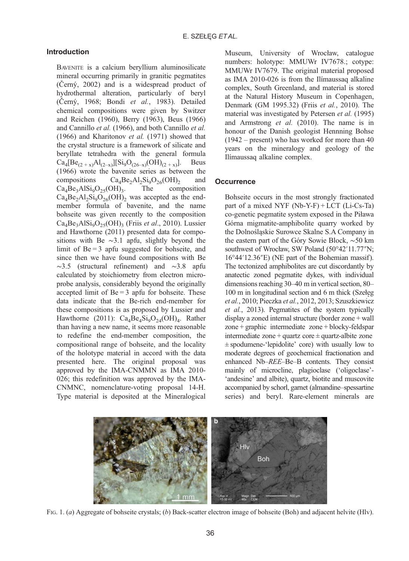## <span id="page-1-0"></span>Introduction

BAVENITE is a calcium beryllium aluminosilicate mineral occurring primarily in granitic pegmatites (Č[erný, 2002\)](#page-10-0) and is a widespread product of hydrothermal alteration, particularly of beryl (Č[erný, 1968](#page-10-0); Bondi et al.[, 1983](#page-10-0)). Detailed chemical compositions were given by [Switzer](#page-11-0) [and Reichen \(1960\),](#page-11-0) [Berry \(1963\)](#page-10-0), [Beus \(1966\)](#page-10-0) and [Cannillo](#page-10-0) et al. (1966), and both [Cannillo](#page-10-0) et al. [\(1966\)](#page-10-0) and [Kharitonov](#page-10-0) et al. (1971) showed that the crystal structure is a framework of silicate and beryllate tetrahedra with the general formula  $Ca_4[Be_{(2+x)}Al_{(2-x)}][Si_9O_{(26-x)}(OH)_{(2+x)}].$  [Beus](#page-10-0) [\(1966\)](#page-10-0) wrote the bavenite series as between the compositions  $Ca_4Be_2Al_2Si_9O_{26}(OH)_2$  and<br>Ca<sub>4</sub>Be<sub>2</sub>AlSi<sub>0</sub>O<sub>25</sub>(OH)<sub>2</sub>. The composition  $Ca<sub>4</sub>Be<sub>3</sub>AlSi<sub>9</sub>O<sub>25</sub>(OH)<sub>3</sub>.$  $Ca<sub>4</sub>Be<sub>2</sub>Al<sub>2</sub>Si<sub>9</sub>O<sub>26</sub>(OH)$ <sub>2</sub> was accepted as the endmember formula of bavenite, and the name bohseite was given recently to the composition  $Ca<sub>4</sub>Be<sub>3</sub>AlSi<sub>9</sub>O<sub>25</sub>(OH)<sub>3</sub>$  (Friis *et al.*, 2010). [Lussier](#page-10-0) [and Hawthorne \(2011\)](#page-10-0) presented data for compositions with Be ∼3.1 apfu, slightly beyond the limit of  $Be = 3$  apfu suggested for bohseite, and since then we have found compositions with Be ∼3.5 (structural refinement) and ∼3.8 apfu calculated by stoichiometry from electron microprobe analysis, considerably beyond the originally accepted limit of  $Be = 3$  apfu for bohseite. These data indicate that the Be-rich end-member for these compositions is as proposed by [Lussier and](#page-10-0) [Hawthorne \(2011\)](#page-10-0):  $Ca<sub>4</sub>Be<sub>4</sub>Si<sub>9</sub>O<sub>24</sub>(OH)<sub>4</sub>$ . Rather than having a new name, it seems more reasonable to redefine the end-member composition, the compositional range of bohseite, and the locality of the holotype material in accord with the data presented here. The original proposal was approved by the IMA-CNMMN as IMA 2010- 026; this redefinition was approved by the IMA-CNMNC, nomenclature-voting proposal 14-H. Type material is deposited at the Mineralogical

Museum, University of Wrocław, catalogue numbers: holotype: MMUWr IV7678.; cotype: MMUWr IV7679. The original material proposed as IMA 2010-026 is from the Ilímaussaq alkaline complex, South Greenland, and material is stored at the Natural History Museum in Copenhagen, Denmark (GM 1995.32) (Friis et al.[, 2010](#page-10-0)). The material was investigated by [Petersen](#page-10-0) et al. (1995) and [Armstrong](#page-10-0) et al. (2010). The name is in honour of the Danish geologist Hennning Bohse (1942 – present) who has worked for more than 40 years on the mineralogy and geology of the Ilímaussaq alkaline complex.

#### **Occurrence**

Bohseite occurs in the most strongly fractionated part of a mixed NYF (Nb-Y-F) + LCT (Li-Cs-Ta) co-genetic pegmatite system exposed in the Piława Górna migmatite-amphibolite quarry worked by the Dolnośląskie Surowce Skalne S.A Company in the eastern part of the Góry Sowie Block, ∼50 km southwest of Wrocław, SW Poland (50°42′11.77″N; 16°44′12.36″E) (NE part of the Bohemian massif ). The tectonized amphibolites are cut discordantly by anatectic zoned pegmatite dykes, with individual dimensions reaching 30–40 m in vertical section, 80– 100 m in longitudinal section and 6 m thick ([Sze](#page-11-0)łeg̨ et al.[, 2010;](#page-11-0) [Pieczka](#page-10-0) et al., 2012, [2013; Szuszkiewicz](#page-11-0) et al.[, 2013\)](#page-11-0). Pegmatites of the system typically display a zoned internal structure (border zone + wall zone + graphic intermediate zone + blocky-feldspar intermediate zone + quartz core ± quartz-albite zone  $\pm$  spodumene-'lepidolite' core) with usually low to moderate degrees of geochemical fractionation and enhanced Nb–REE–Be–B contents. They consist mainly of microcline, plagioclase ('oligoclase'- 'andesine' and albite), quartz, biotite and muscovite accompanied by schorl, garnet (almandine–spessartine series) and beryl. Rare-element minerals are



FIG. 1. (a) Aggregate of bohseite crystals; (b) Back-scatter electron image of bohseite (Boh) and adjacent helvite (Hlv).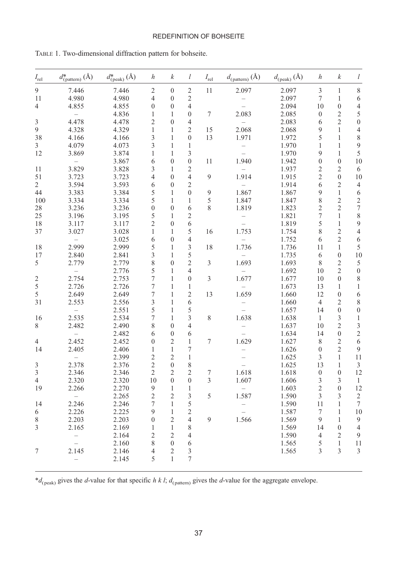#### REDEFINITION OF BOHSEITE

<span id="page-2-0"></span>

|                         | TABLE 1. Two-dimensional diffraction pattern for bohseite. |                                  |                  |                  |                |               |                                    |                                |                  |                  |                  |
|-------------------------|------------------------------------------------------------|----------------------------------|------------------|------------------|----------------|---------------|------------------------------------|--------------------------------|------------------|------------------|------------------|
| $I_{\rm rel}$           | $d^*_{\text{(pattern)}}\left(\text{\AA}\right)$            | $d^*_{\text{(peak)}}\text{ (Å)}$ | $\boldsymbol{h}$ | $\boldsymbol{k}$ | l              | $I_{\rm rel}$ | $d_{(\text{pattern})}(\text{\AA})$ | $d_{\text{(peak)}}\text{ (Å)}$ | $\boldsymbol{h}$ | $\boldsymbol{k}$ | l                |
| 9                       | 7.446                                                      | 7.446                            | 2                | $\boldsymbol{0}$ | $\overline{c}$ | 11            | 2.097                              | 2.097                          | 3                | 1                | 8                |
| 11                      | 4.980                                                      | 4.980                            | 4                | $\mathbf{0}$     | $\overline{c}$ |               |                                    | 2.097                          | 7                | 1                | 6                |
| 4                       | 4.855                                                      | 4.855                            | 0                | $\mathbf{0}$     | $\overline{4}$ |               |                                    | 2.094                          | 10               | $\boldsymbol{0}$ | $\overline{4}$   |
|                         |                                                            | 4.836                            | 1                | 1                | $\mathbf{0}$   | 7             | 2.083                              | 2.085                          | $\mathbf{0}$     | 2                | 5                |
| 3                       | 4.478                                                      | 4.478                            | 2                | $\mathbf{0}$     | $\overline{4}$ |               |                                    | 2.083                          | 6                | $\overline{c}$   | $\boldsymbol{0}$ |
| 9                       | 4.328                                                      | 4.329                            | 1                | 1                | $\overline{2}$ | 15            | 2.068                              | 2.068                          | 9                | $\mathbf{1}$     | $\overline{4}$   |
| 38                      | 4.166                                                      | 4.166                            | 3                | 1                | $\mathbf{0}$   | 13            | 1.971                              | 1.972                          | 5                | 1                | $\,$ 8 $\,$      |
| 3                       | 4.079                                                      | 4.073                            | 3                | 1                | $\mathbf{1}$   |               |                                    | 1.970                          | 1                | 1                | 9                |
| 12                      | 3.869                                                      | 3.874                            | 1                | 1                | 3              |               |                                    | 1.970                          | 9                | 1                | 5                |
|                         |                                                            | 3.867                            | 6                | $\Omega$         | $\mathbf{0}$   | 11            | 1.940                              | 1.942                          | $\mathbf{0}$     | $\mathbf{0}$     | 10               |
| 11                      | 3.829                                                      | 3.828                            | 3                | 1                | $\mathfrak{2}$ |               |                                    | 1.937                          | 2                | 2                | 6                |
| 51                      | 3.723                                                      | 3.723                            | 4                | $\theta$         | $\overline{4}$ | 9             | 1.914                              | 1.915                          | $\overline{c}$   | $\boldsymbol{0}$ | 10               |
| 2                       | 3.594                                                      | 3.593                            | 6                | $\theta$         | $\overline{2}$ |               |                                    | 1.914                          | 6                | 2                | 4                |
| 44                      | 3.383                                                      | 3.384                            | 5                | 1                | $\mathbf{0}$   | 9             | 1.867                              | 1.867                          | 9                | 1                | 6                |
| 100                     | 3.334                                                      | 3.334                            | 5                | 1                | 1              | 5             | 1.847                              | 1.847                          | 8                | 2                | 2                |
| 28                      | 3.236                                                      | 3.236                            | $\theta$         | $\Omega$         | 6              | 8             | 1.819                              | 1.823                          | 2                | $\overline{2}$   | $\tau$           |
| 25                      | 3.196                                                      | 3.195                            | 5                | 1                | $\overline{2}$ |               |                                    | 1.821                          | 7                | 1                | 8                |
| 18                      | 3.117                                                      | 3.117                            | 2                | $\mathbf{0}$     | 6              |               |                                    | 1.819                          | 5                | $\mathbf{1}$     | 9                |
| 37                      | 3.027                                                      | 3.028                            | 1                | $\mathbf{1}$     | 5              | 16            | 1.753                              | 1.754                          | 8                | $\mathfrak{2}$   | $\overline{4}$   |
|                         |                                                            | 3.025                            | 6                | $\mathbf{0}$     | $\overline{4}$ |               |                                    | 1.752                          | 6                | $\overline{c}$   | 6                |
| 18                      | 2.999                                                      | 2.999                            | 5                | 1                | 3              | 18            | 1.736                              | 1.736                          | 11               | 1                | 5                |
| 17                      | 2.840                                                      | 2.841                            | 3                | 1                | 5              |               |                                    | 1.735                          | 6                | $\boldsymbol{0}$ | 10               |
| 5                       | 2.779                                                      | 2.779                            | 8                | $\mathbf{0}$     | $\sqrt{2}$     | 3             | 1.693                              | 1.693                          | 8                | $\overline{2}$   | 5                |
|                         |                                                            | 2.776                            | 5                | 1                | $\overline{4}$ |               |                                    | 1.692                          | 10               | 2                | $\boldsymbol{0}$ |
| $\overline{\mathbf{c}}$ | 2.754                                                      | 2.753                            | 7                | $\mathbf{1}$     | $\mathbf{0}$   | 3             | 1.677                              | 1.677                          | 10               | $\boldsymbol{0}$ | 8                |
| 5                       | 2.726                                                      | 2.726                            | 7                | 1                | 1              |               |                                    | 1.673                          | 13               | 1                | 1                |
| 5                       | 2.649                                                      | 2.649                            | 7                | 1                | 2              | 13            | 1.659                              | 1.660                          | 12               | $\boldsymbol{0}$ | 6                |
| 31                      | 2.553                                                      | 2.556                            | 3                | 1                | 6              |               |                                    | 1.660                          | $\overline{4}$   | 2                | 8                |
|                         |                                                            | 2.551                            | 5                | 1                | 5              |               |                                    | 1.657                          | 14               | $\boldsymbol{0}$ | $\boldsymbol{0}$ |
| 16                      | 2.535                                                      | 2.534                            | 7                | 1                | 3              | 8             | 1.638                              | 1.638                          | $\mathbf{1}$     | 3                | 1                |
| 8                       | 2.482                                                      | 2.490                            | 8                | $\Omega$         | $\overline{4}$ |               |                                    | 1.637                          | 10               | 2                | 3                |
|                         |                                                            | 2.482                            | 6                | $\mathbf{0}$     | 6              |               |                                    | 1.634                          | 14               | $\boldsymbol{0}$ | $\sqrt{2}$       |
| 4                       | 2.452                                                      | 2.452                            | $\theta$         | 2                | 1              | 7             | 1.629                              | 1.627                          | 8                | 2                | 6                |
| 14                      | 2.405                                                      | 2.406                            | 1                | 1                | 7              |               |                                    | 1.626                          | $\mathbf{0}$     | $\mathfrak{2}$   | 9                |
|                         |                                                            | 2.399                            | 2                | $\overline{2}$   | 1              |               |                                    | 1.625                          | 3                | 1                | 11               |
| 3                       | 2.378                                                      | 2.376                            | $\overline{c}$   | $\theta$         | 8              |               |                                    | 1.625                          | 13               | 1                | 3                |

\* $d_{\text{(peak)}}$  gives the *d*-value for that specific *h k l; d<sub>(pattern)</sub>* gives the *d*-value for the aggregate envelope.

 $-$  2.145 5 1 7

3 2.346 2.346 2 2 2 7 1.618 1.618 0 0 12 4 2.320 2.320 10 0 0 3 1.607 1.606 3 3 1 19 2.266 2.270 9 1 1 – 1.603 2 0 12

14 2.246 2.246 7 1 5 – 1.590 11 1 7 6 2.226 2.225 9 1 2 – 1.587 7 1 10 8 2.203 2.203 0 2 4 9 1.566 1.569 9 1 9 3 2.165 2.169 1 1 8 1.569 14 0 4

7 2.145 2.146 4 2 3 1.565 3 3 3

 $-$  2.265 2 2 3 5 1.587 1.590 3 3 2

 $-$  2.164 2 2 4 1.590 4 2 9  $-$  2.160 8 0 6 1.565 5 1 11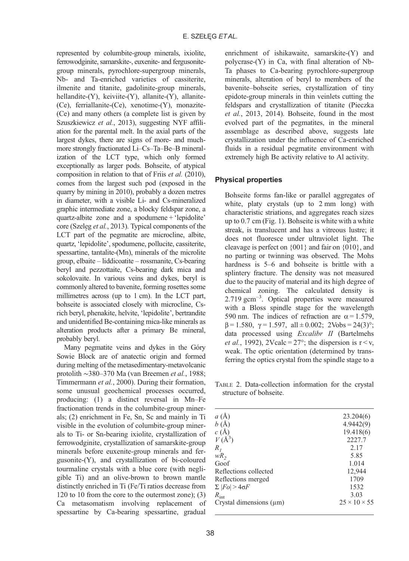<span id="page-3-0"></span>represented by columbite-group minerals, ixiolite, ferrowodginite, samarskite-, euxenite- and fergusonitegroup minerals, pyrochlore-supergroup minerals, Nb- and Ta-enriched varieties of cassiterite, ilmenite and titanite, gadolinite-group minerals, hellandite-(Y), keiviite-(Y), allanite-(Y), allanite- (Ce), ferriallanite-(Ce), xenotime-(Y), monazite- (Ce) and many others (a complete list is given by [Szuszkiewicz](#page-11-0) et al., 2013), suggesting NYF affiliation for the parental melt. In the axial parts of the largest dykes, there are signs of more- and muchmore strongly fractionated Li–Cs–Ta–Be–B mineralization of the LCT type, which only formed exceptionally as larger pods. Bohseite, of atypical composition in relation to that of Friis et al. [\(2010\)](#page-10-0), comes from the largest such pod (exposed in the quarry by mining in 2010), probably a dozen metres in diameter, with a visible Li- and Cs-mineralized graphic intermediate zone, a blocky feldspar zone, a quartz-albite zone and a spodumene + 'lepidolite' core [\(Szeleg](#page-11-0) *et al.*, 2013). Typical components of the LCT part of the pegmatite are microcline, albite, quartz, 'lepidolite', spodumene, pollucite, cassiterite, spessartine, tantalite-(Mn), minerals of the microlite group, elbaite – liddicoatite – rossmanite, Cs-bearing beryl and pezzottaite, Cs-bearing dark mica and sokolovaite. In various veins and dykes, beryl is commonly altered to bavenite, forming rosettes some millimetres across (up to 1 cm). In the LCT part, bohseite is associated closely with microcline, Csrich beryl, phenakite, helvite, 'lepidolite', bertrandite and unidentified Be-containing mica-like minerals as alteration products after a primary Be mineral, probably beryl.

Many pegmatite veins and dykes in the Góry Sowie Block are of anatectic origin and formed during melting of the metasedimentary-metavolcanic protolith ∼380–370 Ma ([van Breemen](#page-11-0) et al., 1988; [Timmermann](#page-11-0) et al., 2000). During their formation, some unusual geochemical processes occurred, producing: (1) a distinct reversal in Mn–Fe fractionation trends in the columbite-group minerals; (2) enrichment in Fe, Sn, Sc and mainly in Ti visible in the evolution of columbite-group minerals to Ti- or Sn-bearing ixiolite, crystallization of ferrowodginite, crystallization of samarskite-group minerals before euxenite-group minerals and fergusonite-(Y), and crystallization of bi-coloured tourmaline crystals with a blue core (with negligible Ti) and an olive-brown to brown mantle distinctly enriched in Ti (Fe/Ti ratios decrease from 120 to 10 from the core to the outermost zone); (3) Ca metasomatism involving replacement of spessartine by Ca-bearing spessartine, gradual

enrichment of ishikawaite, samarskite-(Y) and polycrase-(Y) in Ca, with final alteration of Nb-Ta phases to Ca-bearing pyrochlore-supergroup minerals, alteration of beryl to members of the bavenite–bohseite series, crystallization of tiny epidote-group minerals in thin veinlets cutting the feldspars and crystallization of titanite ([Pieczka](#page-11-0) et al.[, 2013](#page-11-0), [2014](#page-11-0)). Bohseite, found in the most evolved part of the pegmatites, in the mineral assemblage as described above, suggests late crystallization under the influence of Ca-enriched fluids in a residual pegmatite environment with extremely high Be activity relative to Al activity.

#### Physical properties

Bohseite forms fan-like or parallel aggregates of white, platy crystals (up to 2 mm long) with characteristic striations, and aggregates reach sizes up to 0.7 cm [\(Fig. 1\)](#page-1-0). Bohseite is white with a white streak, is translucent and has a vitreous lustre; it does not fluoresce under ultraviolet light. The cleavage is perfect on {001} and fair on {010}, and no parting or twinning was observed. The Mohs hardness is 5–6 and bohseite is brittle with a splintery fracture. The density was not measured due to the paucity of material and its high degree of chemical zoning. The calculated density is 2.719 gcm–<sup>3</sup> . Optical properties were measured with a Bloss spindle stage for the wavelength 590 nm. The indices of refraction are  $\alpha = 1.579$ .  $\beta = 1.580$ ,  $\gamma = 1.597$ , all  $\pm 0.002$ ; 2Vobs = 24(3)°; data processed using Excalibr II [\(Bartelmehs](#page-10-0) *et al.*[, 1992](#page-10-0)), 2Vcalc =  $27^{\circ}$ ; the dispersion is  $r < v$ , weak. The optic orientation (determined by transferring the optics crystal from the spindle stage to a

TABLE 2. Data-collection information for the crystal structure of bohseite.

| a(A)                         | 23.204(6)                |
|------------------------------|--------------------------|
| b(A)                         | 4.9442(9)                |
| c(A)                         | 19.418(6)                |
| $V(\AA^3)$                   | 2227.7                   |
| $R_{I}$                      | 2.17                     |
| $wR_2$                       | 5.85                     |
| Goof                         | 1.014                    |
| Reflections collected        | 12,944                   |
| Reflections merged           | 1709                     |
| $\Sigma$  Fo  > 4 $\sigma$ F | 1532                     |
| $R_{\rm int}$                | 3.03                     |
| Crystal dimensions $(\mu m)$ | $25 \times 10 \times 55$ |
|                              |                          |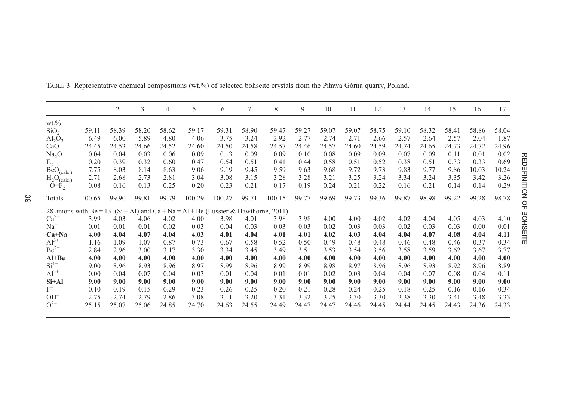|                                                                                        |         | 2       | 3       | 4       | 5       | 6       | 7       | 8       | 9       | 10      | 11      | 12      | 13      | 14      | 15      | 16      | 17      |
|----------------------------------------------------------------------------------------|---------|---------|---------|---------|---------|---------|---------|---------|---------|---------|---------|---------|---------|---------|---------|---------|---------|
| $wt. \%$                                                                               |         |         |         |         |         |         |         |         |         |         |         |         |         |         |         |         |         |
| SiO <sub>2</sub>                                                                       | 59.11   | 58.39   | 58.20   | 58.62   | 59.17   | 59.31   | 58.90   | 59.47   | 59.27   | 59.07   | 59.07   | 58.75   | 59.10   | 58.32   | 58.41   | 58.86   | 58.04   |
| $\text{Al}_2\text{O}_3$                                                                | 6.49    | 6.00    | 5.89    | 4.80    | 4.06    | 3.75    | 3.24    | 2.92    | 2.77    | 2.74    | 2.71    | 2.66    | 2.57    | 2.64    | 2.57    | 2.04    | 1.87    |
| CaO                                                                                    | 24.45   | 24.53   | 24.66   | 24.52   | 24.60   | 24.50   | 24.58   | 24.57   | 24.46   | 24.57   | 24.60   | 24.59   | 24.74   | 24.65   | 24.73   | 24.72   | 24.96   |
| Na <sub>2</sub> O                                                                      | 0.04    | 0.04    | 0.03    | 0.06    | 0.09    | 0.13    | 0.09    | 0.09    | 0.10    | 0.08    | 0.09    | 0.09    | 0.07    | 0.09    | 0.11    | 0.01    | 0.02    |
| F <sub>2</sub>                                                                         | 0.20    | 0.39    | 0.32    | 0.60    | 0.47    | 0.54    | 0.51    | 0.41    | 0.44    | 0.58    | 0.51    | 0.52    | 0.38    | 0.51    | 0.33    | 0.33    | 0.69    |
| $BeO_{(calc.)}$                                                                        | 7.75    | 8.03    | 8.14    | 8.63    | 9.06    | 9.19    | 9.45    | 9.59    | 9.63    | 9.68    | 9.72    | 9.73    | 9.83    | 9.77    | 9.86    | 10.03   | 10.24   |
| $H_2O_{(calc.)}$                                                                       | 2.71    | 2.68    | 2.73    | 2.81    | 3.04    | 3.08    | 3.15    | 3.28    | 3.28    | 3.21    | 3.25    | 3.24    | 3.34    | 3.24    | 3.35    | 3.42    | 3.26    |
| $-O=F2$                                                                                | $-0.08$ | $-0.16$ | $-0.13$ | $-0.25$ | $-0.20$ | $-0.23$ | $-0.21$ | $-0.17$ | $-0.19$ | $-0.24$ | $-0.21$ | $-0.22$ | $-0.16$ | $-0.21$ | $-0.14$ | $-0.14$ | $-0.29$ |
| Totals                                                                                 | 100.65  | 99.90   | 99.81   | 99.79   | 100.29  | 100.27  | 99.71   | 100.15  | 99.77   | 99.69   | 99.73   | 99.36   | 99.87   | 98.98   | 99.22   | 99.28   | 98.78   |
| 28 anions with $Be = 13-(Si + Al)$ and $Ca + Na = Al + Be$ (Lussier & Hawthorne, 2011) |         |         |         |         |         |         |         |         |         |         |         |         |         |         |         |         |         |
| $Ca2+$                                                                                 | 3.99    | 4.03    | 4.06    | 4.02    | 4.00    | 3.98    | 4.01    | 3.98    | 3.98    | 4.00    | 4.00    | 4.02    | 4.02    | 4.04    | 4.05    | 4.03    | 4.10    |
| $Na+$                                                                                  | 0.01    | 0.01    | 0.01    | 0.02    | 0.03    | 0.04    | 0.03    | 0.03    | 0.03    | 0.02    | 0.03    | 0.03    | 0.02    | 0.03    | 0.03    | 0.00    | 0.01    |
| $Ca+Na$                                                                                | 4.00    | 4.04    | 4.07    | 4.04    | 4.03    | 4.01    | 4.04    | 4.01    | 4.01    | 4.02    | 4.03    | 4.04    | 4.04    | 4.07    | 4.08    | 4.04    | 4.11    |
| $Al^{3+}$                                                                              | 1.16    | 1.09    | 1.07    | 0.87    | 0.73    | 0.67    | 0.58    | 0.52    | 0.50    | 0.49    | 0.48    | 0.48    | 0.46    | 0.48    | 0.46    | 0.37    | 0.34    |
| $Be^{2+}$                                                                              | 2.84    | 2.96    | 3.00    | 3.17    | 3.30    | 3.34    | 3.45    | 3.49    | 3.51    | 3.53    | 3.54    | 3.56    | 3.58    | 3.59    | 3.62    | 3.67    | 3.77    |
| $Al+Be$                                                                                | 4.00    | 4.00    | 4.00    | 4.00    | 4.00    | 4.00    | 4.00    | 4.00    | 4.00    | 4.00    | 4.00    | 4.00    | 4.00    | 4.00    | 4.00    | 4.00    | 4.00    |
| $Si4+$                                                                                 | 9.00    | 8.96    | 8.93    | 8.96    | 8.97    | 8.99    | 8.96    | 8.99    | 8.99    | 8.98    | 8.97    | 8.96    | 8.96    | 8.93    | 8.92    | 8.96    | 8.89    |
| $Al^{3+}$                                                                              | 0.00    | 0.04    | 0.07    | 0.04    | 0.03    | 0.01    | 0.04    | 0.01    | 0.01    | 0.02    | 0.03    | 0.04    | 0.04    | 0.07    | 0.08    | 0.04    | 0.11    |
| $Si+Al$                                                                                | 9.00    | 9.00    | 9.00    | 9.00    | 9.00    | 9.00    | 9.00    | 9.00    | 9.00    | 9.00    | 9.00    | 9.00    | 9.00    | 9.00    | 9.00    | 9.00    | 9.00    |
| $F^-$                                                                                  | 0.10    | 0.19    | 0.15    | 0.29    | 0.23    | 0.26    | 0.25    | 0.20    | 0.21    | 0.28    | 0.24    | 0.25    | 0.18    | 0.25    | 0.16    | 0.16    | 0.34    |
| $OH^-$                                                                                 | 2.75    | 2.74    | 2.79    | 2.86    | 3.08    | 3.11    | 3.20    | 3.31    | 3.32    | 3.25    | 3.30    | 3.30    | 3.38    | 3.30    | 3.41    | 3.48    | 3.33    |
| $O^{2-}$                                                                               | 25.15   | 25.07   | 25.06   | 24.85   | 24.70   | 24.63   | 24.55   | 24.49   | 24.47   | 24.47   | 24.46   | 24.45   | 24.44   | 24.45   | 24.43   | 24.36   | 24.33   |

<span id="page-4-0"></span>TABLE 3. Representative chemical compositions (wt.%) of selected bohseite crystals from the Piława Górna quarry, Poland.

REDEFINITION OF BOHSEITE REDEFINITION OF BOHSEITE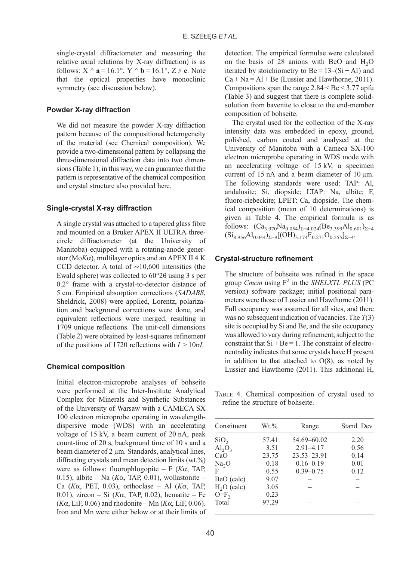single-crystal diffractometer and measuring the relative axial relations by X-ray diffraction) is as follows:  $X \wedge a = 16.1^\circ$ ,  $Y \wedge b = 16.1^\circ$ ,  $Z \# c$ . Note that the optical properties have monoclinic symmetry (see discussion below).

## Powder X-ray diffraction

We did not measure the powder X-ray diffraction pattern because of the compositional heterogeneity of the material (see Chemical composition). We provide a two-dimensional pattern by collapsing the three-dimensional diffraction data into two dimensions [\(Table 1](#page-2-0)); in this way, we can guarantee that the pattern is representative of the chemical composition and crystal structure also provided here.

### Single-crystal X-ray diffraction

A single crystal was attached to a tapered glass fibre and mounted on a Bruker APEX II ULTRA threecircle diffractometer (at the University of Manitoba) equipped with a rotating-anode generator ( $MoK\alpha$ ), multilayer optics and an APEX II 4 K CCD detector. A total of ∼10,600 intensities (the Ewald sphere) was collected to 60°2θ using 3 s per 0.2° frame with a crystal-to-detector distance of 5 cm. Empirical absorption corrections (SADABS, [Sheldrick, 2008](#page-11-0)) were applied, Lorentz, polarization and background corrections were done, and equivalent reflections were merged, resulting in 1709 unique reflections. The unit-cell dimensions ([Table 2](#page-3-0)) were obtained by least-squares refinement of the positions of 1720 reflections with  $I > 10\sigma I$ .

#### Chemical composition

Initial electron-microprobe analyses of bohseite were performed at the Inter-Institute Analytical Complex for Minerals and Synthetic Substances of the University of Warsaw with a CAMECA SX 100 electron microprobe operating in wavelengthdispersive mode (WDS) with an accelerating voltage of 15 kV, a beam current of 20 nA, peak count-time of 20 s, background time of 10 s and a beam diameter of 2 μm. Standards, analytical lines, diffracting crystals and mean detection limits (wt.%) were as follows: fluorophlogopite – F  $(K\alpha, \text{ TAP})$ 0.15), albite – Na ( $K\alpha$ , TAP, 0.01), wollastonite – Ca (K $\alpha$ , PET, 0.03), orthoclase – Al (K $\alpha$ , TAP, 0.01), zircon – Si ( $K\alpha$ , TAP, 0.02), hematite – Fe ( $K\alpha$ , LiF, 0.06) and rhodonite – Mn ( $K\alpha$ , LiF, 0.06). Iron and Mn were either below or at their limits of detection. The empirical formulae were calculated on the basis of 28 anions with BeO and  $H<sub>2</sub>O$ iterated by stoichiometry to  $Be = 13-(Si + Al)$  and  $Ca + Na = Al + Be$  [\(Lussier and Hawthorne, 2011](#page-10-0)). Compositions span the range  $2.84 \leq Be \leq 3.77$  apfu ([Table 3](#page-4-0)) and suggest that there is complete solidsolution from bavenite to close to the end-member composition of bohseite.

The crystal used for the collection of the X-ray intensity data was embedded in epoxy, ground, polished, carbon coated and analysed at the University of Manitoba with a Cameca SX-100 electron microprobe operating in WDS mode with an accelerating voltage of 15 kV, a specimen current of 15 nA and a beam diameter of 10 μm. The following standards were used: TAP: Al, andalusite; Si, diopside; LTAP: Na, albite; F, fluoro-riebeckite; LPET: Ca, diopside. The chemical composition (mean of 10 determinations) is given in Table 4. The empirical formula is as follows:  $(Ca_{3.970}Na_{0.054})_{\Sigma=4.024}(Be_{3.399}Al_{0.601})_{\Sigma=4.02}$  $(Si_{8.956}Al_{0.044})_{\Sigma=9}[(OH)_{3.174}F_{0.271}O_{0.555}]_{\Sigma=4}.$ 

## Crystal-structure refinement

The structure of bohseite was refined in the space group Cmcm using  $F^2$  in the SHELXTL PLUS (PC version) software package; initial positional parameters were those of [Lussier and Hawthorne \(2011\)](#page-10-0). Full occupancy was assumed for all sites, and there was no subsequent indication of vacancies. The  $T(3)$ site is occupied by Si and Be, and the site occupancy was allowed to vary during refinement, subject to the constraint that  $Si + Be = 1$ . The constraint of electroneutrality indicates that some crystals have H present in addition to that attached to  $O(8)$ , as noted by [Lussier and Hawthorne \(2011\)](#page-10-0). This additional H,

TABLE 4. Chemical composition of crystal used to refine the structure of bohseite.

| Constituent       | $Wt.\%$ | Range         | Stand. Dev. |
|-------------------|---------|---------------|-------------|
| SiO <sub>2</sub>  | 57.41   | 54.69-60.02   | 2.20        |
| $Al_2O_3$         | 3.51    | $2.91 - 4.17$ | 0.56        |
| CaO               | 23.75   | 23.53-23.91   | 0.14        |
| Na <sub>2</sub> O | 0.18    | $0.16 - 0.19$ | 0.01        |
| F                 | 0.55    | $0.39 - 0.75$ | 0.12        |
| BeO (calc)        | 9.07    |               |             |
| $H2O$ (calc)      | 3.05    |               |             |
| $O=F_{2}$         | $-0.23$ |               |             |
| Total             | 97.29   |               |             |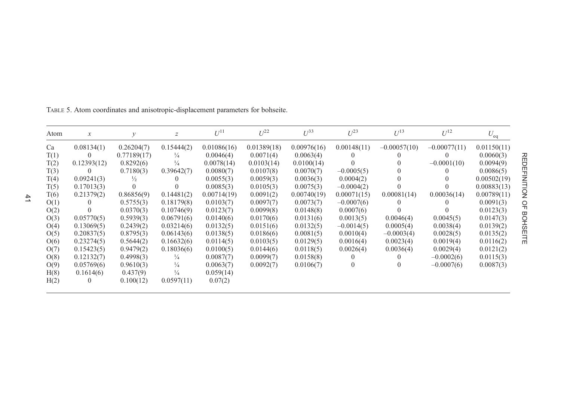| Atom | $\boldsymbol{\chi}$ | v             | $\boldsymbol{Z}$ | $U^{11}$    | $U^{22}$    | $U^{33}$    | $U^{23}$         | $U^{13}$       | $U^{12}$       | $U_{\rm eq}$ |
|------|---------------------|---------------|------------------|-------------|-------------|-------------|------------------|----------------|----------------|--------------|
| Ca   | 0.08134(1)          | 0.26204(7)    | 0.15444(2)       | 0.01086(16) | 0.01389(18) | 0.00976(16) | 0.00148(11)      | $-0.00057(10)$ | $-0.00077(11)$ | 0.01150(11)  |
| T(1) | $\theta$            | 0.77189(17)   | $\frac{1}{4}$    | 0.0046(4)   | 0.0071(4)   | 0.0063(4)   | $\theta$         | O              |                | 0.0060(3)    |
| T(2) | 0.12393(12)         | 0.8292(6)     | $\frac{1}{4}$    | 0.0078(14)  | 0.0103(14)  | 0.0100(14)  | $\Omega$         | 0              | $-0.0001(10)$  | 0.0094(9)    |
| T(3) |                     | 0.7180(3)     | 0.39642(7)       | 0.0080(7)   | 0.0107(8)   | 0.0070(7)   | $-0.0005(5)$     | $\Omega$       |                | 0.0086(5)    |
| T(4) | 0.09241(3)          | $\frac{1}{2}$ |                  | 0.0055(3)   | 0.0059(3)   | 0.0036(3)   | 0.0004(2)        | $\Omega$       |                | 0.00502(19)  |
| T(5) | 0.17013(3)          | $\Omega$      |                  | 0.0085(3)   | 0.0105(3)   | 0.0075(3)   | $-0.0004(2)$     |                |                | 0.00883(13)  |
| T(6) | 0.21379(2)          | 0.86856(9)    | 0.14481(2)       | 0.00714(19) | 0.0091(2)   | 0.00740(19) | 0.00071(15)      | 0.00081(14)    | 0.00036(14)    | 0.00789(11)  |
| O(1) |                     | 0.5755(3)     | 0.18179(8)       | 0.0103(7)   | 0.0097(7)   | 0.0073(7)   | $-0.0007(6)$     | $\theta$       |                | 0.0091(3)    |
| O(2) |                     | 0.0370(3)     | 0.10746(9)       | 0.0123(7)   | 0.0099(8)   | 0.0148(8)   | 0.0007(6)        | 0              |                | 0.0123(3)    |
| O(3) | 0.05770(5)          | 0.5939(3)     | 0.06791(6)       | 0.0140(6)   | 0.0170(6)   | 0.0131(6)   | 0.0013(5)        | 0.0046(4)      | 0.0045(5)      | 0.0147(3)    |
| O(4) | 0.13069(5)          | 0.2439(2)     | 0.03214(6)       | 0.0132(5)   | 0.0151(6)   | 0.0132(5)   | $-0.0014(5)$     | 0.0005(4)      | 0.0038(4)      | 0.0139(2)    |
| O(5) | 0.20837(5)          | 0.8795(3)     | 0.06143(6)       | 0.0138(5)   | 0.0186(6)   | 0.0081(5)   | 0.0010(4)        | $-0.0003(4)$   | 0.0028(5)      | 0.0135(2)    |
| O(6) | 0.23274(5)          | 0.5644(2)     | 0.16632(6)       | 0.0114(5)   | 0.0103(5)   | 0.0129(5)   | 0.0016(4)        | 0.0023(4)      | 0.0019(4)      | 0.0116(2)    |
| O(7) | 0.15423(5)          | 0.9479(2)     | 0.18036(6)       | 0.0100(5)   | 0.0144(6)   | 0.0118(5)   | 0.0026(4)        | 0.0036(4)      | 0.0029(4)      | 0.0121(2)    |
| O(8) | 0.12132(7)          | 0.4998(3)     | $\frac{1}{4}$    | 0.0087(7)   | 0.0099(7)   | 0.0158(8)   | $\theta$         |                | $-0.0002(6)$   | 0.0115(3)    |
| O(9) | 0.05769(6)          | 0.9610(3)     | $\frac{1}{4}$    | 0.0063(7)   | 0.0092(7)   | 0.0106(7)   | $\boldsymbol{0}$ | 0              | $-0.0007(6)$   | 0.0087(3)    |
| H(8) | 0.1614(6)           | 0.437(9)      | $\frac{1}{4}$    | 0.059(14)   |             |             |                  |                |                |              |
| H(2) |                     | 0.100(12)     | 0.0597(11)       | 0.07(2)     |             |             |                  |                |                |              |

<span id="page-6-0"></span>TABLE 5. Atom coordinates and anisotropic-displacement parameters for bohseite.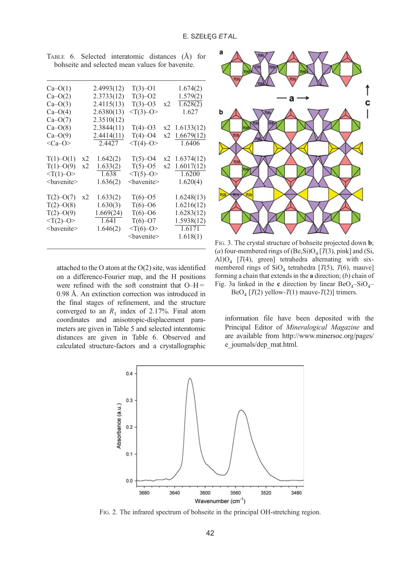| $Ca-O(1)$                |    | 2.4993(12) | $T(3) - O1$                                  |    | 1.674(2)      |
|--------------------------|----|------------|----------------------------------------------|----|---------------|
| $Ca-O(2)$                |    | 2.3733(12) | $T(3)-O2$                                    |    | 1.579(2)      |
| $Ca-O(3)$                |    | 2.4115(13) | $T(3)-O3$                                    | x2 | 1.628(2)      |
| $Ca-O(4)$                |    | 2.6380(13) | $<\!\!\mathrm{T}(3)\!\!-\!\!\mathrm{O}\!\!>$ |    | 1.627         |
| $Ca-O(7)$                |    | 2.3510(12) |                                              |    |               |
| $Ca-O(8)$                |    | 2.3844(11) | $T(4)-O3$                                    |    | x2 1.6133(12) |
| $Ca-O(9)$                |    | 2.4414(11) | $T(4)-O4$                                    | x2 | 1.6679(12)    |
| $<$ Ca-O>                |    | 2.4427     | $< T(4)-O>$                                  |    | 1.6406        |
|                          |    |            |                                              |    |               |
| $T(1)-O(1)$              | x2 | 1.642(2)   | $T(5)-O4$                                    | x2 | 1.6374(12)    |
| $T(1)-O(9)$              | x2 | 1.633(2)   | $T(5)-O5$                                    | x2 | 1.6017(12)    |
| $\langle T(1)-O \rangle$ |    | 1.638      | $<$ T(5)-O>                                  |    | 1.6200        |
| <bavenite></bavenite>    |    | 1.636(2)   | <bavenite></bavenite>                        |    | 1.620(4)      |
|                          |    |            |                                              |    |               |
| $T(2)-O(7)$              | x2 | 1.633(2)   | $T(6)-O5$                                    |    | 1.6248(13)    |
| $T(2) - O(8)$            |    | 1.630(3)   | $T(6)-O6$                                    |    | 1.6216(12)    |
| $T(2)-O(9)$              |    | 1.669(24)  | $T(6)-O6$                                    |    | 1.6283(12)    |
| $< T(2)-O>$              |    | 1.641      | $T(6)-O7$                                    |    | 1.5938(12)    |
| <bavenite></bavenite>    |    | 1.646(2)   | $\langle \text{T}(6)-\text{O}\rangle$        |    | 1.6171        |
|                          |    |            | <bavenite></bavenite>                        |    | 1.618(1)      |
|                          |    |            |                                              |    |               |

<span id="page-7-0"></span>TABLE 6. Selected interatomic distances (Å) for bohseite and selected mean values for bavenite.

attached to the O atom at the O(2) site, was identified on a difference-Fourier map, and the H positions were refined with the soft constraint that  $O-H =$ 0.98 Å. An extinction correction was introduced in the final stages of refinement, and the structure converged to an  $R_1$  index of 2.17%. Final atom coordinates and anisotropic-displacement parameters are given in [Table 5](#page-6-0) and selected interatomic distances are given in Table 6. Observed and calculated structure-factors and a crystallographic



FIG. 3. The crystal structure of bohseite projected down b; (a) four-membered rings of (Be,Si) $O_4$  [T(3), pink] and (Si, Al) $O_4$  [T(4), green] tetrahedra alternating with sixmembered rings of  $SiO<sub>4</sub>$  tetrahedra [T(5), T(6), mauve] forming a chain that extends in the  $a$  direction;  $(b)$  chain of Fig. 3a linked in the c direction by linear  $BeO<sub>4</sub>$ – $SiO<sub>4</sub>$ –  $BeO_4$  [T(2) yellow-T(1) mauve-T(2)] trimers.

information file have been deposited with the

Principal Editor of Mineralogical Magazine and are available from [http://www.minersoc.org/pages/](http://www.minersoc.org/pages/e_journals/dep_mat.html) [e\\_journals/dep\\_mat.html](http://www.minersoc.org/pages/e_journals/dep_mat.html).



FIG. 2. The infrared spectrum of bohseite in the principal OH-stretching region.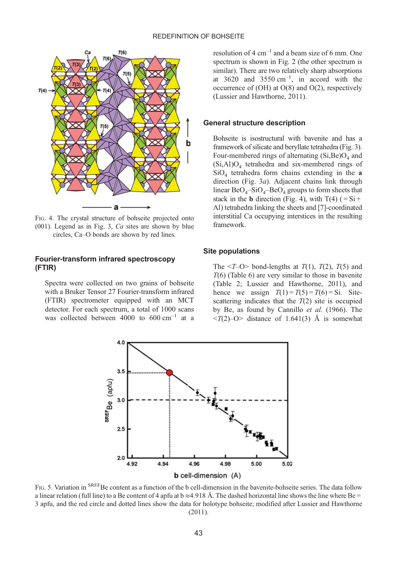<span id="page-8-0"></span>

FIG. 4. The crystal structure of bohseite projected onto  $(001)$ . Legend as in [Fig. 3,](#page-7-0) Ca sites are shown by blue circles, Ca–O bonds are shown by red lines.

#### Fourier-transform infrared spectroscopy (FTIR)

Spectra were collected on two grains of bohseite with a Bruker Tensor 27 Fourier-transform infrared (FTIR) spectrometer equipped with an MCT detector. For each spectrum, a total of 1000 scans was collected between  $4000$  to  $600 \text{ cm}^{-1}$  at a resolution of 4  $cm^{-1}$  and a beam size of 6 mm. One spectrum is shown in [Fig. 2](#page-7-0) (the other spectrum is similar). There are two relatively sharp absorptions at  $3620$  and  $3550 \text{ cm}^{-1}$ , in accord with the occurrence of (OH) at O(8) and O(2), respectively ([Lussier and Hawthorne, 2011](#page-10-0)).

### General structure description

Bohseite is isostructural with bavenite and has a framework of silicate and beryllate tetrahedra ([Fig. 3](#page-7-0)). Four-membered rings of alternating  $(Si, Be)O<sub>4</sub>$  and  $(Si, A1)O<sub>4</sub>$  tetrahedra and six-membered rings of  $SiO<sub>4</sub>$  tetrahedra form chains extending in the a direction ([Fig. 3](#page-7-0)a). Adjacent chains link through linear  $BeO_4-SiO_4-BeO_4$  groups to form sheets that stack in the **b** direction (Fig. 4), with  $T(4)$  (= Si + Al) tetrahedra linking the sheets and [7]-coordinated interstitial Ca occupying interstices in the resulting framework.

#### Site populations

The  $\langle T-O \rangle$  bond-lengths at  $T(1)$ ,  $T(2)$ ,  $T(5)$  and  $T(6)$  [\(Table 6\)](#page-7-0) are very similar to those in bavenite ([Table 2](#page-3-0); [Lussier and Hawthorne, 2011](#page-10-0)), and hence we assign  $T(1) = T(5) = T(6) = Si$ . Sitescattering indicates that the  $T(2)$  site is occupied by Be, as found by [Cannillo](#page-10-0) et al. (1966). The  $\langle T(2)-O\rangle$  distance of 1.641(3) Å is somewhat



FIG. 5. Variation in <sup>SREF</sup>Be content as a function of the b cell-dimension in the bavenite-bohseite series. The data follow a linear relation (full line) to a Be content of 4 apfu at  $b \approx 4.918$  Å. The dashed horizontal line shows the line where Be = 3 apfu, and the red circle and dotted lines show the data for holotype bohseite; modified after [Lussier and Hawthorne](#page-10-0) [\(2011\).](#page-10-0)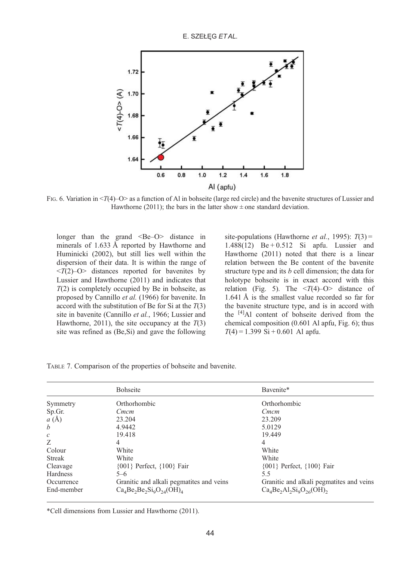E. SZEŁĘG ETAL.

<span id="page-9-0"></span>

FIG. 6. Variation in  $\langle T(4)-O \rangle$  as a function of Al in bohseite (large red circle) and the bavenite structures of [Lussier and](#page-10-0) [Hawthorne \(2011\);](#page-10-0) the bars in the latter show  $\pm$  one standard deviation.

longer than the grand  $\leq$ Be–O $>$  distance in minerals of 1.633 Å reported by [Hawthorne and](#page-10-0) [Huminicki \(2002\)](#page-10-0), but still lies well within the dispersion of their data. It is within the range of  $\langle T(2)-O\rangle$  distances reported for bavenites by [Lussier and Hawthorne \(2011\)](#page-10-0) and indicates that  $T(2)$  is completely occupied by Be in bohseite, as proposed by [Cannillo](#page-10-0) et al. (1966) for bavenite. In accord with the substitution of Be for Si at the  $T(3)$ site in bavenite [\(Cannillo](#page-10-0) et al., 1966; [Lussier and](#page-10-0) [Hawthorne, 2011](#page-10-0)), the site occupancy at the  $T(3)$ site was refined as (Be,Si) and gave the following

site-populations ([Hawthorne](#page-10-0) *et al.*, 1995):  $T(3) =$ 1.488(12) Be + 0.512 Si apfu. [Lussier and](#page-10-0) [Hawthorne \(2011\)](#page-10-0) noted that there is a linear relation between the Be content of the bavenite structure type and its  $b$  cell dimension; the data for holotype bohseite is in exact accord with this relation [\(Fig. 5\)](#page-8-0). The  $\langle T(4)-O \rangle$  distance of 1.641 Å is the smallest value recorded so far for the bavenite structure type, and is in accord with the [4]Al content of bohseite derived from the chemical composition (0.601 Al apfu, Fig. 6); thus  $T(4) = 1.399$  Si + 0.601 Al apfu.

|  |  |  |  |  | TABLE 7. Comparison of the properties of bohseite and bavenite. |
|--|--|--|--|--|-----------------------------------------------------------------|
|--|--|--|--|--|-----------------------------------------------------------------|

|                 | <b>Bohseite</b>                          | Bavenite*                                |
|-----------------|------------------------------------------|------------------------------------------|
| Symmetry        | Orthorhombic                             | Orthorhombic                             |
| Sp.Gr.          | Cmcm                                     | Cmcm                                     |
| a(A)            | 23.204                                   | 23.209                                   |
| b               | 4.9442                                   | 5.0129                                   |
| $\mathcal{C}$   | 19.418                                   | 19.449                                   |
| Z               | 4                                        | 4                                        |
| Colour          | White                                    | White                                    |
| <b>Streak</b>   | White                                    | White                                    |
| Cleavage        | $\{001\}$ Perfect, $\{100\}$ Fair        | {001} Perfect, {100} Fair                |
| <b>Hardness</b> | $5 - 6$                                  | 5.5                                      |
| Occurrence      | Granitic and alkali pegmatites and veins | Granitic and alkali pegmatites and veins |
| End-member      | $Ca4Be2Be2Si0O24(OH)4$                   | $Ca4Be2Al2Si9O26(OH)$ <sub>2</sub>       |

\*Cell dimensions from Lussier and Hawthorne (2011).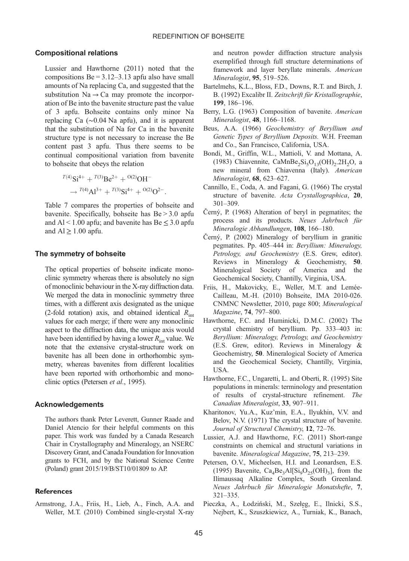### <span id="page-10-0"></span>Compositional relations

Lussier and Hawthorne (2011) noted that the compositions  $Be = 3.12 - 3.13$  apfu also have small amounts of Na replacing Ca, and suggested that the substitution  $Na \rightarrow Ca$  may promote the incorporation of Be into the bavenite structure past the value of 3 apfu. Bohseite contains only minor Na replacing Ca (∼0.04 Na apfu), and it is apparent that the substitution of Na for Ca in the bavenite structure type is not necessary to increase the Be content past 3 apfu. Thus there seems to be continual compositional variation from bavenite to bohseite that obeys the relation

$$
^{T(4)}Si^{4+} + ^{T(3)}Be^{2+} + ^{O(2)}OH^{-}
$$

$$
\rightarrow {}^{T(4)}Al^{3+} + ^{T(3)}Si^{4+} + ^{O(2)}O^{2-}
$$

[Table 7](#page-9-0) compares the properties of bohseite and bavenite. Specifically, bohseite has Be > 3.0 apfu and Al < 1.00 apfu; and bavenite has Be  $\leq$  3.0 apfu and  $Al \geq 1.00$  apfu.

:

#### The symmetry of bohseite

The optical properties of bohseite indicate monoclinic symmetry whereas there is absolutely no sign of monoclinic behaviour in the X-ray diffraction data. We merged the data in monoclinic symmetry three times, with a different axis designated as the unique (2-fold rotation) axis, and obtained identical  $R_{\text{int}}$ values for each merge; if there were any monoclinic aspect to the diffraction data, the unique axis would have been identified by having a lower  $R_{\text{int}}$  value. We note that the extensive crystal-structure work on bavenite has all been done in orthorhombic symmetry, whereas bavenites from different localities have been reported with orthorhombic and monoclinic optics (Petersen et al., 1995).

## Acknowledgements

The authors thank Peter Leverett, Gunner Raade and Daniel Atencio for their helpful comments on this paper. This work was funded by a Canada Research Chair in Crystallography and Mineralogy, an NSERC Discovery Grant, and Canada Foundation for Innovation grants to FCH, and by the National Science Centre (Poland) grant 2015/19/B/ST10/01809 to AP.

#### **References**

Armstrong, J.A., Friis, H., Lieb, A., Finch, A.A. and Weller, M.T. (2010) Combined single-crystal X-ray

and neutron powder diffraction structure analysis exemplified through full structure determinations of framework and layer beryllate minerals. American Mineralogist, 95, 519–526.

- Bartelmehs, K.L., Bloss, F.D., Downs, R.T. and Birch, J. B. (1992) Excalibr II. Zeitschrift für Kristallographie, 199, 186–196.
- Berry, L.G. (1963) Composition of bavenite. American Mineralogist, 48, 1166–1168.
- Beus, A.A. (1966) Geochemistry of Beryllium and Genetic Types of Beryllium Deposits. W.H. Freeman and Co., San Francisco, California, USA.
- Bondi, M., Griffin, W.L., Mattioli, V. and Mottana, A. (1983) Chiavennite, CaMnBe<sub>2</sub>Si<sub>5</sub>O<sub>13</sub>(OH)<sub>2</sub>.2H<sub>2</sub>O, a new mineral from Chiavenna (Italy). American Mineralogist, 68, 623–627.
- Cannillo, E., Coda, A. and Fagani, G. (1966) The crystal structure of bavenite. Acta Crystallographica, 20, 301–309.
- Černý, P. (1968) Alteration of beryl in pegmatites; the process and its products. Neues Jahrbuch für Mineralogie Abhandlungen, 108, 166–180.
- Černý, P. (2002) Mineralogy of beryllium in granitic pegmatites. Pp. 405–444 in: Beryllium: Mineralogy, Petrology, and Geochemistry (E.S. Grew, editor). Reviews in Mineralogy & Geochemistry, 50. Mineralogical Society of America and the Geochemical Society, Chantilly, Virginia, USA.
- Friis, H., Makovicky, E., Weller, M.T. and Lemée-Cailleau, M.-H. (2010) Bohseite, IMA 2010-026. CNMNC Newsletter, 2010, page 800; Mineralogical Magazine, 74, 797–800.
- Hawthorne, F.C. and Huminicki, D.M.C. (2002) The crystal chemistry of beryllium. Pp. 333–403 in: Beryllium: Mineralogy, Petrology, and Geochemistry (E.S. Grew, editor). Reviews in Mineralogy & Geochemistry, 50. Mineralogical Society of America and the Geochemical Society, Chantilly, Virginia, USA.
- Hawthorne, F.C., Ungaretti, L. and Oberti, R. (1995) Site populations in minerals: terminology and presentation of results of crystal-structure refinement. The Canadian Mineralogist, 33, 907–911.
- Kharitonov, Yu.A., Kuz'min, E.A., Ilyukhin, V.V. and Belov, N.V. (1971) The crystal structure of bavenite. Journal of Structural Chemistry, 12, 72–76.
- Lussier, A.J. and Hawthorne, F.C. (2011) Short-range constraints on chemical and structural variations in bavenite. Mineralogical Magazine, 75, 213–239.
- Petersen, O.V., Micheelsen, H.I. and Leonardsen, E.S. (1995) Bavenite,  $Ca<sub>4</sub>Be<sub>3</sub>Al[Si<sub>9</sub>O<sub>25</sub>(OH)<sub>3</sub>],$  from the Ilímaussaq Alkaline Complex, South Greenland. Neues Jahrbuch für Mineralogie Monatshefte, 7, 321–335.
- Pieczka, A., Łodziński, M., Szełęg, E., Ilnicki, S.S., Nejbert, K., Szuszkiewicz, A., Turniak, K., Banach,